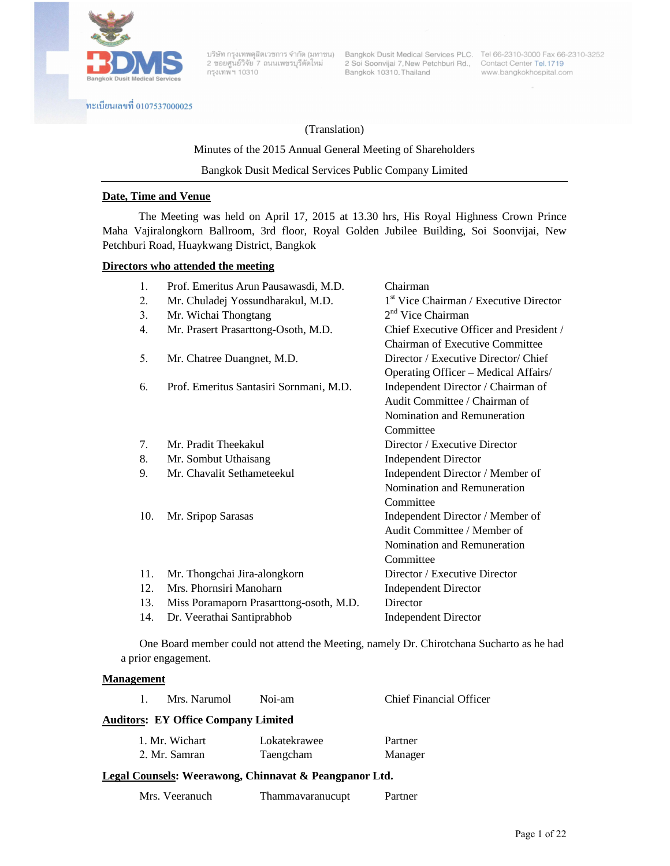

กรุงเทพ์ฯ 10310

บริษัท กรุงเทพดุสิตเวชการ จำกัด (มหาชน) Bangkok Dusit Medical Services PLC. Tel 66-2310-3000 Fax 66-2310-3252<br>2 ซอยศูนย์วิจัย 7 ถนนเพชรบุรีตัดใหม่ 2 Soi Soonvijai 7, New Petchburi Rd., Contact Center Tel.1719<br>2 กรมพบบ 193 Bangkok 10310, Thailand

www.bangkokhospital.com

ทะเบียนเลขที่ 0107537000025

## (Translation)

### Minutes of the 2015 Annual General Meeting of Shareholders

Bangkok Dusit Medical Services Public Company Limited

## **Date, Time and Venue**

 The Meeting was held on April 17, 2015 at 13.30 hrs, His Royal Highness Crown Prince Maha Vajiralongkorn Ballroom, 3rd floor, Royal Golden Jubilee Building, Soi Soonvijai, New Petchburi Road, Huaykwang District, Bangkok

## **Directors who attended the meeting**

| 1 <sup>st</sup> Vice Chairman / Executive Director<br>2.<br>Mr. Chuladej Yossundharakul, M.D.      |  |
|----------------------------------------------------------------------------------------------------|--|
|                                                                                                    |  |
| $2nd$ Vice Chairman<br>Mr. Wichai Thongtang<br>3.                                                  |  |
| Chief Executive Officer and President /<br>Mr. Prasert Prasarttong-Osoth, M.D.<br>$\overline{4}$ . |  |
| Chairman of Executive Committee                                                                    |  |
| Mr. Chatree Duangnet, M.D.<br>Director / Executive Director/ Chief<br>5.                           |  |
| Operating Officer - Medical Affairs/                                                               |  |
| Prof. Emeritus Santasiri Sornmani, M.D.<br>Independent Director / Chairman of<br>6.                |  |
| Audit Committee / Chairman of                                                                      |  |
| Nomination and Remuneration                                                                        |  |
| Committee                                                                                          |  |
| Mr. Pradit Theekakul<br>Director / Executive Director<br>7.                                        |  |
| 8.<br>Mr. Sombut Uthaisang<br><b>Independent Director</b>                                          |  |
| Mr. Chavalit Sethameteekul<br>Independent Director / Member of<br>9.                               |  |
| Nomination and Remuneration                                                                        |  |
| Committee                                                                                          |  |
| 10.<br>Independent Director / Member of<br>Mr. Sripop Sarasas                                      |  |
| Audit Committee / Member of                                                                        |  |
| Nomination and Remuneration                                                                        |  |
| Committee                                                                                          |  |
| 11.<br>Director / Executive Director<br>Mr. Thongchai Jira-alongkorn                               |  |
| Mrs. Phornsiri Manoharn<br>12.<br><b>Independent Director</b>                                      |  |
| Miss Poramaporn Prasarttong-osoth, M.D.<br>Director<br>13.                                         |  |
| Dr. Veerathai Santiprabhob<br>14.<br><b>Independent Director</b>                                   |  |

 One Board member could not attend the Meeting, namely Dr. Chirotchana Sucharto as he had a prior engagement.

#### **Management**

| Mrs. Narumol<br>$\mathbf{1}$                           | Noi-am       | <b>Chief Financial Officer</b> |  |
|--------------------------------------------------------|--------------|--------------------------------|--|
| <b>Auditors: EY Office Company Limited</b>             |              |                                |  |
| 1. Mr. Wichart                                         | Lokatekrawee | Partner                        |  |
| 2. Mr. Samran                                          | Taengcham    | Manager                        |  |
| Legal Counsels: Weerawong, Chinnavat & Peangpanor Ltd. |              |                                |  |

| Mrs. Veeranuch | Thammayaranucupt | Partner |
|----------------|------------------|---------|
|----------------|------------------|---------|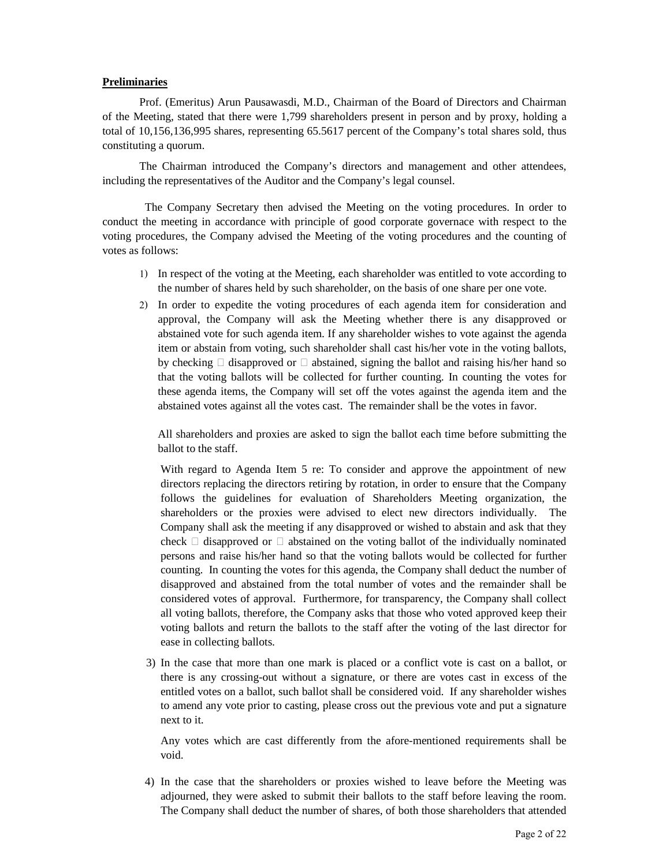### **Preliminaries**

 Prof. (Emeritus) Arun Pausawasdi, M.D., Chairman of the Board of Directors and Chairman of the Meeting, stated that there were 1,799 shareholders present in person and by proxy, holding a total of 10,156,136,995 shares, representing 65.5617 percent of the Company's total shares sold, thus constituting a quorum.

The Chairman introduced the Company's directors and management and other attendees, including the representatives of the Auditor and the Company's legal counsel.

The Company Secretary then advised the Meeting on the voting procedures. In order to conduct the meeting in accordance with principle of good corporate governace with respect to the voting procedures, the Company advised the Meeting of the voting procedures and the counting of votes as follows:

- 1) In respect of the voting at the Meeting, each shareholder was entitled to vote according to the number of shares held by such shareholder, on the basis of one share per one vote.
- 2) In order to expedite the voting procedures of each agenda item for consideration and approval, the Company will ask the Meeting whether there is any disapproved or abstained vote for such agenda item. If any shareholder wishes to vote against the agenda item or abstain from voting, such shareholder shall cast his/her vote in the voting ballots, by checking  $\Box$  disapproved or  $\Box$  abstained, signing the ballot and raising his/her hand so that the voting ballots will be collected for further counting. In counting the votes for these agenda items, the Company will set off the votes against the agenda item and the abstained votes against all the votes cast. The remainder shall be the votes in favor.

All shareholders and proxies are asked to sign the ballot each time before submitting the ballot to the staff.

With regard to Agenda Item 5 re: To consider and approve the appointment of new directors replacing the directors retiring by rotation, in order to ensure that the Company follows the guidelines for evaluation of Shareholders Meeting organization, the shareholders or the proxies were advised to elect new directors individually. The Company shall ask the meeting if any disapproved or wished to abstain and ask that they check  $\Box$  disapproved or  $\Box$  abstained on the voting ballot of the individually nominated persons and raise his/her hand so that the voting ballots would be collected for further counting. In counting the votes for this agenda, the Company shall deduct the number of disapproved and abstained from the total number of votes and the remainder shall be considered votes of approval. Furthermore, for transparency, the Company shall collect all voting ballots, therefore, the Company asks that those who voted approved keep their voting ballots and return the ballots to the staff after the voting of the last director for ease in collecting ballots.

3) In the case that more than one mark is placed or a conflict vote is cast on a ballot, or there is any crossing-out without a signature, or there are votes cast in excess of the entitled votes on a ballot, such ballot shall be considered void. If any shareholder wishes to amend any vote prior to casting, please cross out the previous vote and put a signature next to it.

 Any votes which are cast differently from the afore-mentioned requirements shall be void.

4) In the case that the shareholders or proxies wished to leave before the Meeting was adjourned, they were asked to submit their ballots to the staff before leaving the room. The Company shall deduct the number of shares, of both those shareholders that attended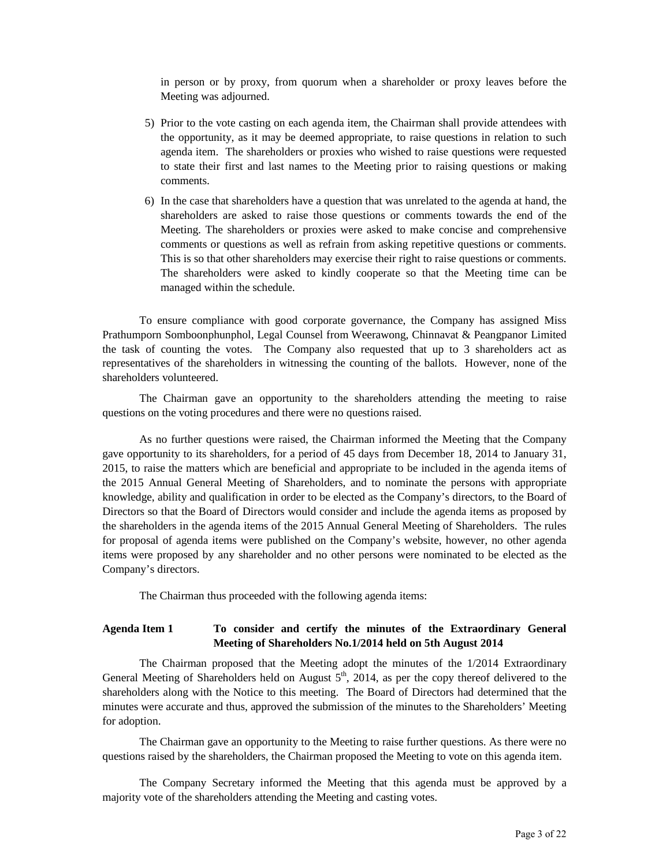in person or by proxy, from quorum when a shareholder or proxy leaves before the Meeting was adjourned.

- 5) Prior to the vote casting on each agenda item, the Chairman shall provide attendees with the opportunity, as it may be deemed appropriate, to raise questions in relation to such agenda item. The shareholders or proxies who wished to raise questions were requested to state their first and last names to the Meeting prior to raising questions or making comments.
- 6) In the case that shareholders have a question that was unrelated to the agenda at hand, the shareholders are asked to raise those questions or comments towards the end of the Meeting. The shareholders or proxies were asked to make concise and comprehensive comments or questions as well as refrain from asking repetitive questions or comments. This is so that other shareholders may exercise their right to raise questions or comments. The shareholders were asked to kindly cooperate so that the Meeting time can be managed within the schedule.

 To ensure compliance with good corporate governance, the Company has assigned Miss Prathumporn Somboonphunphol, Legal Counsel from Weerawong, Chinnavat & Peangpanor Limited the task of counting the votes. The Company also requested that up to 3 shareholders act as representatives of the shareholders in witnessing the counting of the ballots. However, none of the shareholders volunteered.

The Chairman gave an opportunity to the shareholders attending the meeting to raise questions on the voting procedures and there were no questions raised.

As no further questions were raised, the Chairman informed the Meeting that the Company gave opportunity to its shareholders, for a period of 45 days from December 18, 2014 to January 31, 2015, to raise the matters which are beneficial and appropriate to be included in the agenda items of the 2015 Annual General Meeting of Shareholders, and to nominate the persons with appropriate knowledge, ability and qualification in order to be elected as the Company's directors, to the Board of Directors so that the Board of Directors would consider and include the agenda items as proposed by the shareholders in the agenda items of the 2015 Annual General Meeting of Shareholders. The rules for proposal of agenda items were published on the Company's website, however, no other agenda items were proposed by any shareholder and no other persons were nominated to be elected as the Company's directors.

The Chairman thus proceeded with the following agenda items:

## **Agenda Item 1 To consider and certify the minutes of the Extraordinary General Meeting of Shareholders No.1/2014 held on 5th August 2014**

 The Chairman proposed that the Meeting adopt the minutes of the 1/2014 Extraordinary General Meeting of Shareholders held on August  $5<sup>th</sup>$ , 2014, as per the copy thereof delivered to the shareholders along with the Notice to this meeting. The Board of Directors had determined that the minutes were accurate and thus, approved the submission of the minutes to the Shareholders' Meeting for adoption.

The Chairman gave an opportunity to the Meeting to raise further questions. As there were no questions raised by the shareholders, the Chairman proposed the Meeting to vote on this agenda item.

The Company Secretary informed the Meeting that this agenda must be approved by a majority vote of the shareholders attending the Meeting and casting votes.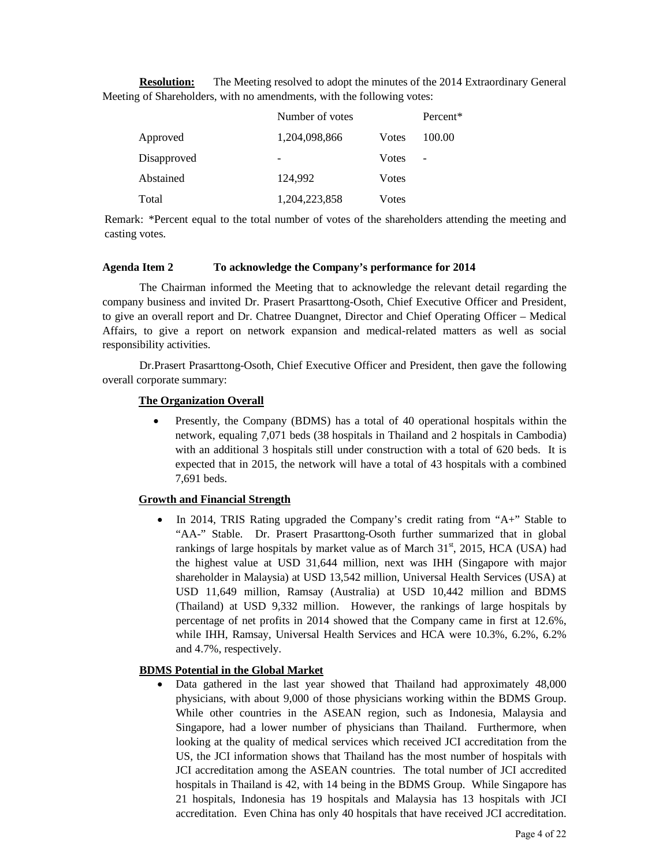**Resolution:** The Meeting resolved to adopt the minutes of the 2014 Extraordinary General Meeting of Shareholders, with no amendments, with the following votes:

|             | Number of votes |               | Percent*          |
|-------------|-----------------|---------------|-------------------|
| Approved    | 1,204,098,866   | <b>V</b> otes | 100.00            |
| Disapproved | -               | <b>V</b> otes | $\qquad \qquad -$ |
| Abstained   | 124,992         | <b>V</b> otes |                   |
| Total       | 1,204,223,858   | Votes         |                   |

Remark: \*Percent equal to the total number of votes of the shareholders attending the meeting and casting votes.

#### **Agenda Item 2 To acknowledge the Company's performance for 2014**

 The Chairman informed the Meeting that to acknowledge the relevant detail regarding the company business and invited Dr. Prasert Prasarttong-Osoth, Chief Executive Officer and President, to give an overall report and Dr. Chatree Duangnet, Director and Chief Operating Officer – Medical Affairs, to give a report on network expansion and medical-related matters as well as social responsibility activities.

 Dr.Prasert Prasarttong-Osoth, Chief Executive Officer and President, then gave the following overall corporate summary:

## **The Organization Overall**

• Presently, the Company (BDMS) has a total of 40 operational hospitals within the network, equaling 7,071 beds (38 hospitals in Thailand and 2 hospitals in Cambodia) with an additional 3 hospitals still under construction with a total of 620 beds. It is expected that in 2015, the network will have a total of 43 hospitals with a combined 7,691 beds.

## **Growth and Financial Strength**

In 2014, TRIS Rating upgraded the Company's credit rating from " $A$ +" Stable to "AA-" Stable. Dr. Prasert Prasarttong-Osoth further summarized that in global rankings of large hospitals by market value as of March  $31<sup>st</sup>$ , 2015, HCA (USA) had the highest value at USD 31,644 million, next was IHH (Singapore with major shareholder in Malaysia) at USD 13,542 million, Universal Health Services (USA) at USD 11,649 million, Ramsay (Australia) at USD 10,442 million and BDMS (Thailand) at USD 9,332 million. However, the rankings of large hospitals by percentage of net profits in 2014 showed that the Company came in first at 12.6%, while IHH, Ramsay, Universal Health Services and HCA were 10.3%, 6.2%, 6.2% and 4.7%, respectively.

## **BDMS Potential in the Global Market**

• Data gathered in the last year showed that Thailand had approximately 48,000 physicians, with about 9,000 of those physicians working within the BDMS Group. While other countries in the ASEAN region, such as Indonesia, Malaysia and Singapore, had a lower number of physicians than Thailand. Furthermore, when looking at the quality of medical services which received JCI accreditation from the US, the JCI information shows that Thailand has the most number of hospitals with JCI accreditation among the ASEAN countries. The total number of JCI accredited hospitals in Thailand is 42, with 14 being in the BDMS Group. While Singapore has 21 hospitals, Indonesia has 19 hospitals and Malaysia has 13 hospitals with JCI accreditation. Even China has only 40 hospitals that have received JCI accreditation.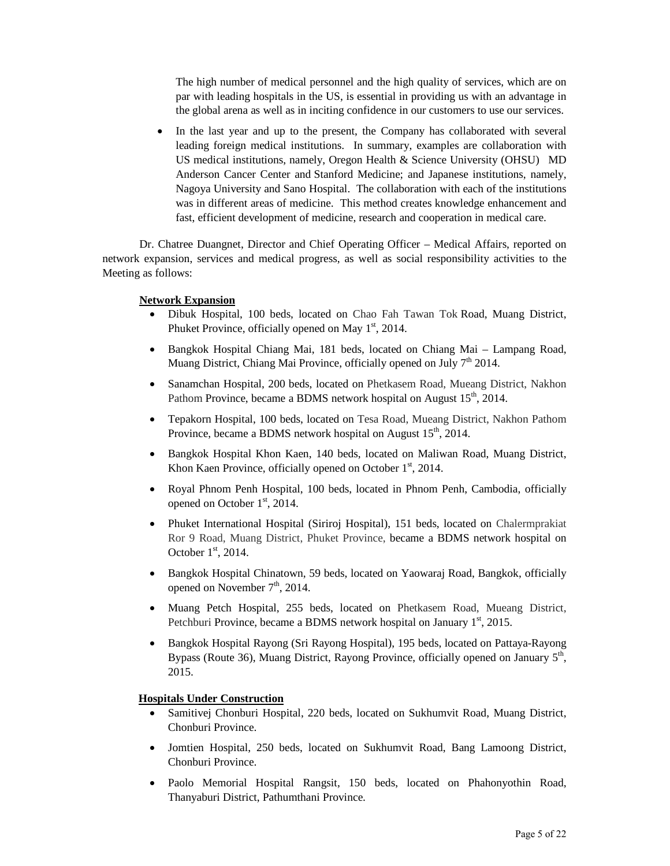The high number of medical personnel and the high quality of services, which are on par with leading hospitals in the US, is essential in providing us with an advantage in the global arena as well as in inciting confidence in our customers to use our services.

In the last year and up to the present, the Company has collaborated with several leading foreign medical institutions. In summary, examples are collaboration with US medical institutions, namely, Oregon Health & Science University (OHSU) MD Anderson Cancer Center and Stanford Medicine; and Japanese institutions, namely, Nagoya University and Sano Hospital. The collaboration with each of the institutions was in different areas of medicine. This method creates knowledge enhancement and fast, efficient development of medicine, research and cooperation in medical care.

 Dr. Chatree Duangnet, Director and Chief Operating Officer – Medical Affairs, reported on network expansion, services and medical progress, as well as social responsibility activities to the Meeting as follows:

#### **Network Expansion**

- Dibuk Hospital, 100 beds, located on Chao Fah Tawan Tok Road, Muang District, Phuket Province, officially opened on May  $1<sup>st</sup>$ , 2014.
- Bangkok Hospital Chiang Mai, 181 beds, located on Chiang Mai Lampang Road, Muang District, Chiang Mai Province, officially opened on July 7<sup>th</sup> 2014.
- Sanamchan Hospital, 200 beds, located on Phetkasem Road, Mueang District, Nakhon Pathom Province, became a BDMS network hospital on August 15<sup>th</sup>, 2014.
- Tepakorn Hospital, 100 beds, located on Tesa Road, Mueang District, Nakhon Pathom Province, became a BDMS network hospital on August 15<sup>th</sup>, 2014.
- Bangkok Hospital Khon Kaen, 140 beds, located on Maliwan Road, Muang District, Khon Kaen Province, officially opened on October  $1<sup>st</sup>$ , 2014.
- Royal Phnom Penh Hospital, 100 beds, located in Phnom Penh, Cambodia, officially opened on October 1<sup>st</sup>, 2014.
- Phuket International Hospital (Siriroj Hospital), 151 beds, located on Chalermprakiat Ror 9 Road, Muang District, Phuket Province, became a BDMS network hospital on October  $1<sup>st</sup>$ , 2014.
- Bangkok Hospital Chinatown, 59 beds, located on Yaowaraj Road, Bangkok, officially opened on November  $7<sup>th</sup>$ , 2014.
- Muang Petch Hospital, 255 beds, located on Phetkasem Road, Mueang District, Petchburi Province, became a BDMS network hospital on January  $1<sup>st</sup>$ , 2015.
- Bangkok Hospital Rayong (Sri Rayong Hospital), 195 beds, located on Pattaya-Rayong Bypass (Route 36), Muang District, Rayong Province, officially opened on January 5<sup>th</sup>, 2015.

## **Hospitals Under Construction**

- Samitivej Chonburi Hospital, 220 beds, located on Sukhumvit Road, Muang District, Chonburi Province.
- Jomtien Hospital, 250 beds, located on Sukhumvit Road, Bang Lamoong District, Chonburi Province.
- Paolo Memorial Hospital Rangsit, 150 beds, located on Phahonyothin Road, Thanyaburi District, Pathumthani Province.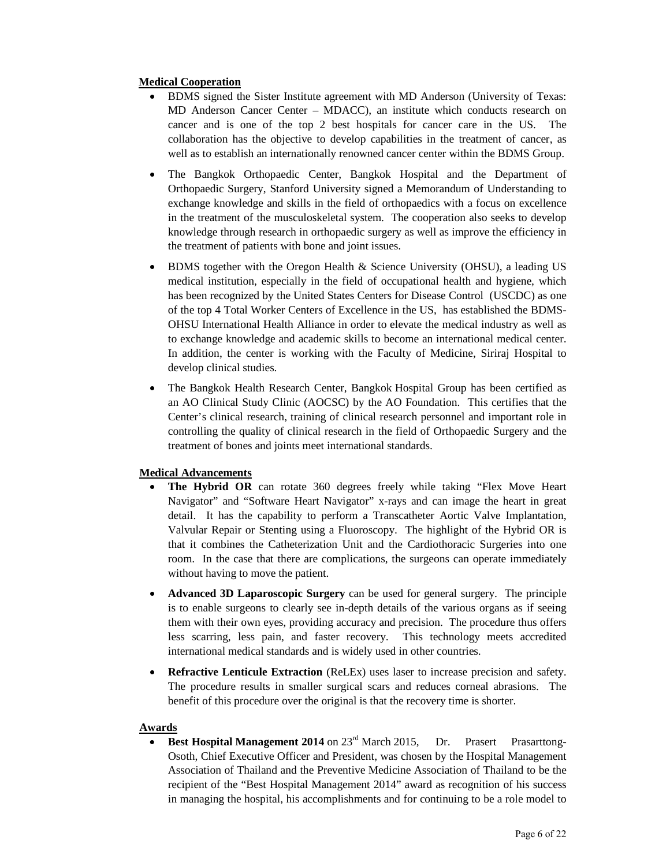# **Medical Cooperation**

- BDMS signed the Sister Institute agreement with MD Anderson (University of Texas: MD Anderson Cancer Center – MDACC), an institute which conducts research on cancer and is one of the top 2 best hospitals for cancer care in the US. The collaboration has the objective to develop capabilities in the treatment of cancer, as well as to establish an internationally renowned cancer center within the BDMS Group.
- The Bangkok Orthopaedic Center, Bangkok Hospital and the Department of Orthopaedic Surgery, Stanford University signed a Memorandum of Understanding to exchange knowledge and skills in the field of orthopaedics with a focus on excellence in the treatment of the musculoskeletal system. The cooperation also seeks to develop knowledge through research in orthopaedic surgery as well as improve the efficiency in the treatment of patients with bone and joint issues.
- BDMS together with the Oregon Health & Science University (OHSU), a leading US medical institution, especially in the field of occupational health and hygiene, which has been recognized by the United States Centers for Disease Control (USCDC) as one of the top 4 Total Worker Centers of Excellence in the US, has established the BDMS-OHSU International Health Alliance in order to elevate the medical industry as well as to exchange knowledge and academic skills to become an international medical center. In addition, the center is working with the Faculty of Medicine, Siriraj Hospital to develop clinical studies.
- The Bangkok Health Research Center, Bangkok Hospital Group has been certified as an AO Clinical Study Clinic (AOCSC) by the AO Foundation. This certifies that the Center's clinical research, training of clinical research personnel and important role in controlling the quality of clinical research in the field of Orthopaedic Surgery and the treatment of bones and joints meet international standards.

## **Medical Advancements**

- The Hybrid OR can rotate 360 degrees freely while taking "Flex Move Heart Navigator" and "Software Heart Navigator" x-rays and can image the heart in great detail. It has the capability to perform a Transcatheter Aortic Valve Implantation, Valvular Repair or Stenting using a Fluoroscopy. The highlight of the Hybrid OR is that it combines the Catheterization Unit and the Cardiothoracic Surgeries into one room. In the case that there are complications, the surgeons can operate immediately without having to move the patient.
- **Advanced 3D Laparoscopic Surgery** can be used for general surgery. The principle is to enable surgeons to clearly see in-depth details of the various organs as if seeing them with their own eyes, providing accuracy and precision. The procedure thus offers less scarring, less pain, and faster recovery. This technology meets accredited international medical standards and is widely used in other countries.
- **Refractive Lenticule Extraction** (ReLEx) uses laser to increase precision and safety. The procedure results in smaller surgical scars and reduces corneal abrasions. The benefit of this procedure over the original is that the recovery time is shorter.

## **Awards**

**Best Hospital Management 2014** on 23<sup>rd</sup> March 2015, Dr. Prasert Prasarttong-Osoth, Chief Executive Officer and President, was chosen by the Hospital Management Association of Thailand and the Preventive Medicine Association of Thailand to be the recipient of the "Best Hospital Management 2014" award as recognition of his success in managing the hospital, his accomplishments and for continuing to be a role model to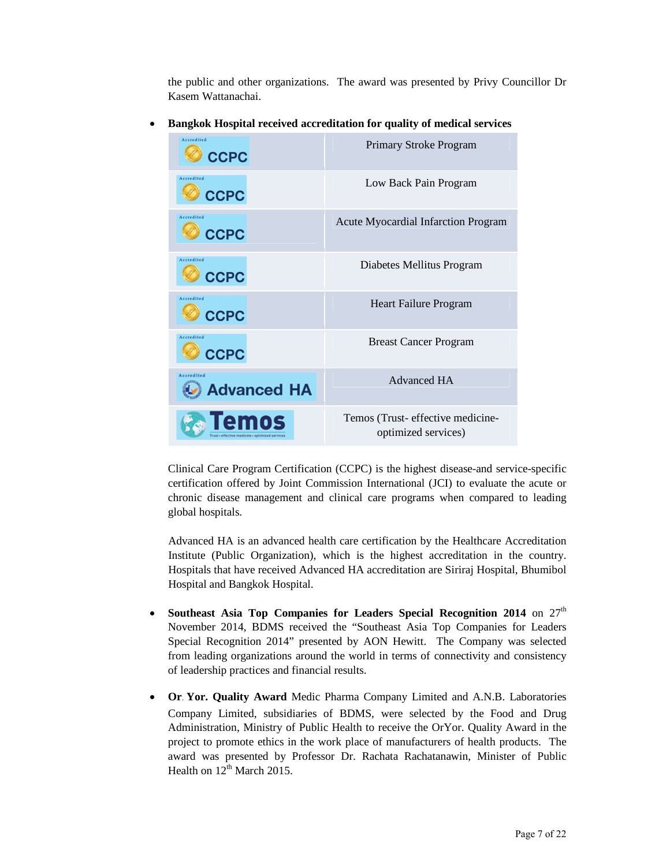the public and other organizations. The award was presented by Privy Councillor Dr Kasem Wattanachai.

- Primary Stroke Program  $(\mathscr{D})$ **CCPC** Low Back Pain Program **CCPC** Accredit Acute Myocardial Infarction Program **CCPC** Diabetes Mellitus Program **CCPC** Heart Failure Program  $CCPC$ Breast Cancer Program **CCPC** Advanced HA **Advanced HA** Temos Temos (Trust- effective medicineoptimized services)
- **Bangkok Hospital received accreditation for quality of medical services**

Clinical Care Program Certification (CCPC) is the highest disease-and service-specific certification offered by Joint Commission International (JCI) to evaluate the acute or chronic disease management and clinical care programs when compared to leading global hospitals.

Advanced HA is an advanced health care certification by the Healthcare Accreditation Institute (Public Organization), which is the highest accreditation in the country. Hospitals that have received Advanced HA accreditation are Siriraj Hospital, Bhumibol Hospital and Bangkok Hospital.

- Southeast Asia Top Companies for Leaders Special Recognition 2014 on  $27<sup>th</sup>$ November 2014, BDMS received the "Southeast Asia Top Companies for Leaders Special Recognition 2014" presented by AON Hewitt. The Company was selected from leading organizations around the world in terms of connectivity and consistency of leadership practices and financial results.
- **Or. Yor. Quality Award** Medic Pharma Company Limited and A.N.B. Laboratories Company Limited, subsidiaries of BDMS, were selected by the Food and Drug Administration, Ministry of Public Health to receive the OrYor. Quality Award in the project to promote ethics in the work place of manufacturers of health products. The award was presented by Professor Dr. Rachata Rachatanawin, Minister of Public Health on  $12^{th}$  March 2015.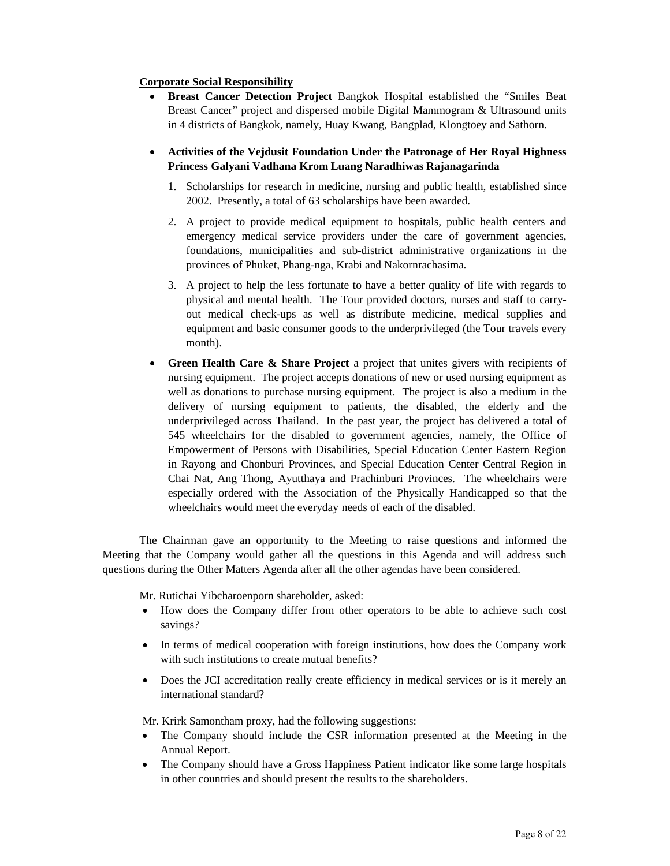## **Corporate Social Responsibility**

- **Breast Cancer Detection Project** Bangkok Hospital established the "Smiles Beat Breast Cancer" project and dispersed mobile Digital Mammogram & Ultrasound units in 4 districts of Bangkok, namely, Huay Kwang, Bangplad, Klongtoey and Sathorn.
- **Activities of the Vejdusit Foundation Under the Patronage of Her Royal Highness Princess Galyani Vadhana Krom Luang Naradhiwas Rajanagarinda** 
	- 1. Scholarships for research in medicine, nursing and public health, established since 2002. Presently, a total of 63 scholarships have been awarded.
	- 2. A project to provide medical equipment to hospitals, public health centers and emergency medical service providers under the care of government agencies, foundations, municipalities and sub-district administrative organizations in the provinces of Phuket, Phang-nga, Krabi and Nakornrachasima.
	- 3. A project to help the less fortunate to have a better quality of life with regards to physical and mental health. The Tour provided doctors, nurses and staff to carryout medical check-ups as well as distribute medicine, medical supplies and equipment and basic consumer goods to the underprivileged (the Tour travels every month).
- **Green Health Care & Share Project** a project that unites givers with recipients of nursing equipment. The project accepts donations of new or used nursing equipment as well as donations to purchase nursing equipment. The project is also a medium in the delivery of nursing equipment to patients, the disabled, the elderly and the underprivileged across Thailand. In the past year, the project has delivered a total of 545 wheelchairs for the disabled to government agencies, namely, the Office of Empowerment of Persons with Disabilities, Special Education Center Eastern Region in Rayong and Chonburi Provinces, and Special Education Center Central Region in Chai Nat, Ang Thong, Ayutthaya and Prachinburi Provinces. The wheelchairs were especially ordered with the Association of the Physically Handicapped so that the wheelchairs would meet the everyday needs of each of the disabled.

The Chairman gave an opportunity to the Meeting to raise questions and informed the Meeting that the Company would gather all the questions in this Agenda and will address such questions during the Other Matters Agenda after all the other agendas have been considered.

Mr. Rutichai Yibcharoenporn shareholder, asked:

- How does the Company differ from other operators to be able to achieve such cost savings?
- In terms of medical cooperation with foreign institutions, how does the Company work with such institutions to create mutual benefits?
- Does the JCI accreditation really create efficiency in medical services or is it merely an international standard?

Mr. Krirk Samontham proxy, had the following suggestions:

- The Company should include the CSR information presented at the Meeting in the Annual Report.
- The Company should have a Gross Happiness Patient indicator like some large hospitals in other countries and should present the results to the shareholders.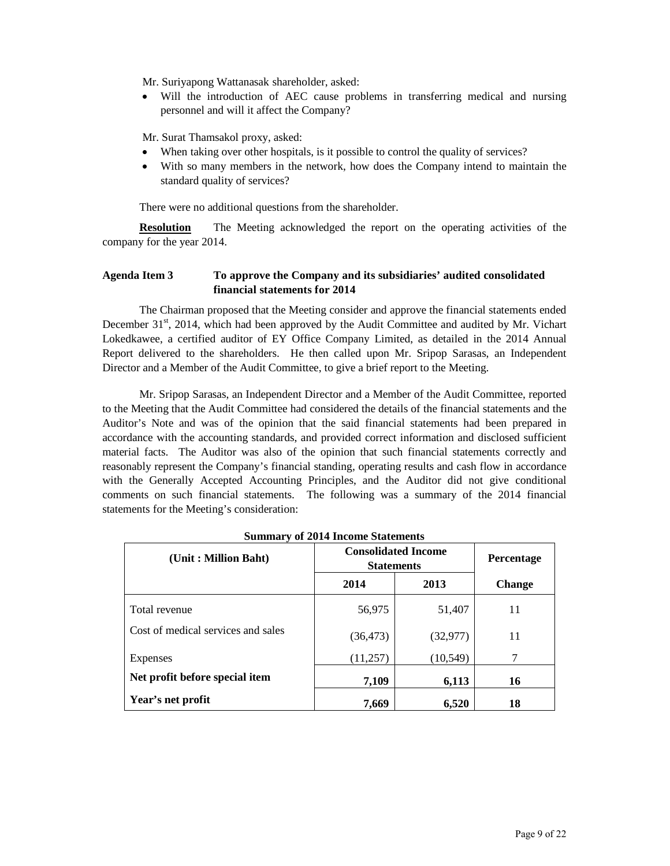Mr. Suriyapong Wattanasak shareholder, asked:

• Will the introduction of AEC cause problems in transferring medical and nursing personnel and will it affect the Company?

Mr. Surat Thamsakol proxy, asked:

- When taking over other hospitals, is it possible to control the quality of services?
- With so many members in the network, how does the Company intend to maintain the standard quality of services?

There were no additional questions from the shareholder.

**Resolution** The Meeting acknowledged the report on the operating activities of the company for the year 2014.

# **Agenda Item 3 To approve the Company and its subsidiaries' audited consolidated financial statements for 2014**

 The Chairman proposed that the Meeting consider and approve the financial statements ended December 31<sup>st</sup>, 2014, which had been approved by the Audit Committee and audited by Mr. Vichart Lokedkawee, a certified auditor of EY Office Company Limited, as detailed in the 2014 Annual Report delivered to the shareholders. He then called upon Mr. Sripop Sarasas, an Independent Director and a Member of the Audit Committee, to give a brief report to the Meeting.

 Mr. Sripop Sarasas, an Independent Director and a Member of the Audit Committee, reported to the Meeting that the Audit Committee had considered the details of the financial statements and the Auditor's Note and was of the opinion that the said financial statements had been prepared in accordance with the accounting standards, and provided correct information and disclosed sufficient material facts. The Auditor was also of the opinion that such financial statements correctly and reasonably represent the Company's financial standing, operating results and cash flow in accordance with the Generally Accepted Accounting Principles, and the Auditor did not give conditional comments on such financial statements. The following was a summary of the 2014 financial statements for the Meeting's consideration:

| (Unit: Million Baht)               | <b>Consolidated Income</b><br><b>Statements</b> |           | <b>Percentage</b> |
|------------------------------------|-------------------------------------------------|-----------|-------------------|
|                                    | 2014                                            | 2013      | <b>Change</b>     |
| Total revenue                      | 56,975                                          | 51,407    | 11                |
| Cost of medical services and sales | (36, 473)                                       | (32, 977) | 11                |
| Expenses                           | (11,257)                                        | (10, 549) | 7                 |
| Net profit before special item     | 7,109                                           | 6,113     | 16                |
| Year's net profit                  | 7,669                                           | 6,520     | 18                |

**Summary of 2014 Income Statements**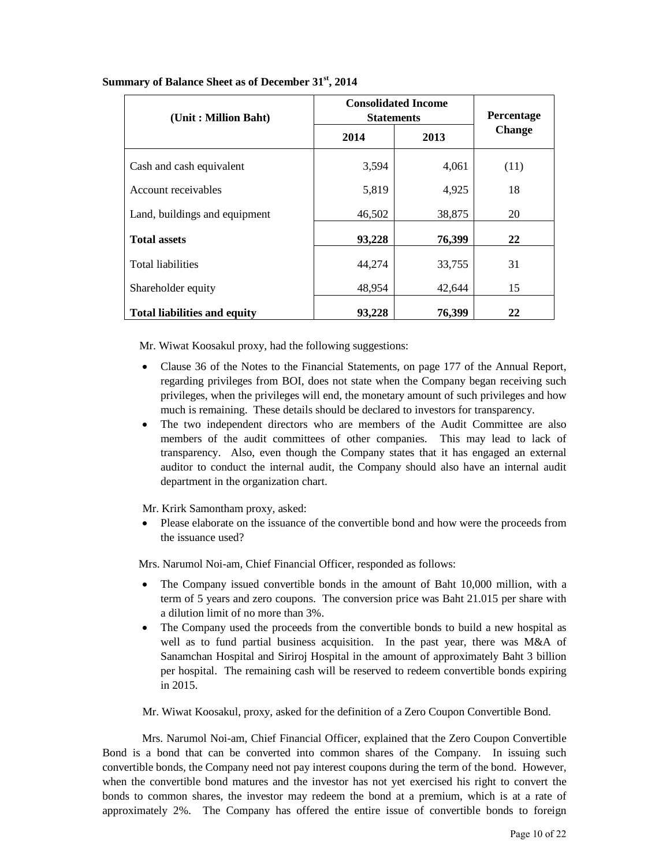| (Unit: Million Baht)                | <b>Consolidated Income</b><br><b>Statements</b> |        | Percentage    |
|-------------------------------------|-------------------------------------------------|--------|---------------|
|                                     | 2014                                            | 2013   | <b>Change</b> |
| Cash and cash equivalent            | 3,594                                           | 4,061  | (11)          |
| Account receivables                 | 5,819                                           | 4,925  | 18            |
| Land, buildings and equipment       | 46,502                                          | 38,875 | 20            |
| <b>Total assets</b>                 | 93,228                                          | 76,399 | 22            |
| <b>Total liabilities</b>            | 44,274                                          | 33,755 | 31            |
| Shareholder equity                  | 48,954                                          | 42,644 | 15            |
| <b>Total liabilities and equity</b> | 93,228                                          | 76,399 | 22            |

## **Summary of Balance Sheet as of December 31st, 2014**

Mr. Wiwat Koosakul proxy, had the following suggestions:

- Clause 36 of the Notes to the Financial Statements, on page 177 of the Annual Report, regarding privileges from BOI, does not state when the Company began receiving such privileges, when the privileges will end, the monetary amount of such privileges and how much is remaining. These details should be declared to investors for transparency.
- The two independent directors who are members of the Audit Committee are also members of the audit committees of other companies. This may lead to lack of transparency. Also, even though the Company states that it has engaged an external auditor to conduct the internal audit, the Company should also have an internal audit department in the organization chart.

Mr. Krirk Samontham proxy, asked:

• Please elaborate on the issuance of the convertible bond and how were the proceeds from the issuance used?

Mrs. Narumol Noi-am, Chief Financial Officer, responded as follows:

- The Company issued convertible bonds in the amount of Baht 10,000 million, with a term of 5 years and zero coupons. The conversion price was Baht 21.015 per share with a dilution limit of no more than 3%.
- The Company used the proceeds from the convertible bonds to build a new hospital as well as to fund partial business acquisition. In the past year, there was M&A of Sanamchan Hospital and Siriroj Hospital in the amount of approximately Baht 3 billion per hospital. The remaining cash will be reserved to redeem convertible bonds expiring in 2015.

Mr. Wiwat Koosakul, proxy, asked for the definition of a Zero Coupon Convertible Bond.

Mrs. Narumol Noi-am, Chief Financial Officer, explained that the Zero Coupon Convertible Bond is a bond that can be converted into common shares of the Company. In issuing such convertible bonds, the Company need not pay interest coupons during the term of the bond. However, when the convertible bond matures and the investor has not yet exercised his right to convert the bonds to common shares, the investor may redeem the bond at a premium, which is at a rate of approximately 2%. The Company has offered the entire issue of convertible bonds to foreign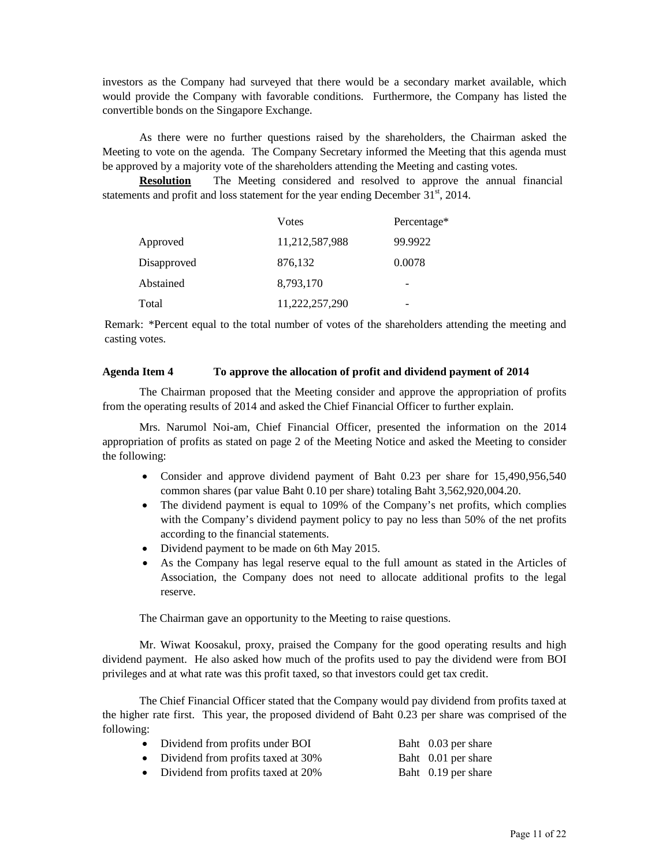investors as the Company had surveyed that there would be a secondary market available, which would provide the Company with favorable conditions. Furthermore, the Company has listed the convertible bonds on the Singapore Exchange.

 As there were no further questions raised by the shareholders, the Chairman asked the Meeting to vote on the agenda. The Company Secretary informed the Meeting that this agenda must be approved by a majority vote of the shareholders attending the Meeting and casting votes.

**Resolution** The Meeting considered and resolved to approve the annual financial statements and profit and loss statement for the year ending December  $31<sup>st</sup>$ , 2014.

|             | Votes          | Percentage* |
|-------------|----------------|-------------|
| Approved    | 11,212,587,988 | 99.9922     |
| Disapproved | 876,132        | 0.0078      |
| Abstained   | 8,793,170      | -           |
| Total       | 11,222,257,290 |             |

Remark: \*Percent equal to the total number of votes of the shareholders attending the meeting and casting votes.

#### **Agenda Item 4 To approve the allocation of profit and dividend payment of 2014**

 The Chairman proposed that the Meeting consider and approve the appropriation of profits from the operating results of 2014 and asked the Chief Financial Officer to further explain.

 Mrs. Narumol Noi-am, Chief Financial Officer, presented the information on the 2014 appropriation of profits as stated on page 2 of the Meeting Notice and asked the Meeting to consider the following:

- Consider and approve dividend payment of Baht 0.23 per share for 15,490,956,540 common shares (par value Baht 0.10 per share) totaling Baht 3,562,920,004.20.
- The dividend payment is equal to 109% of the Company's net profits, which complies with the Company's dividend payment policy to pay no less than 50% of the net profits according to the financial statements.
- Dividend payment to be made on 6th May 2015.
- As the Company has legal reserve equal to the full amount as stated in the Articles of Association, the Company does not need to allocate additional profits to the legal reserve.

The Chairman gave an opportunity to the Meeting to raise questions.

 Mr. Wiwat Koosakul, proxy, praised the Company for the good operating results and high dividend payment. He also asked how much of the profits used to pay the dividend were from BOI privileges and at what rate was this profit taxed, so that investors could get tax credit.

 The Chief Financial Officer stated that the Company would pay dividend from profits taxed at the higher rate first. This year, the proposed dividend of Baht 0.23 per share was comprised of the following:

- Dividend from profits under BOI Baht 0.03 per share
- Dividend from profits taxed at 30% Baht 0.01 per share
- Dividend from profits taxed at 20% Baht 0.19 per share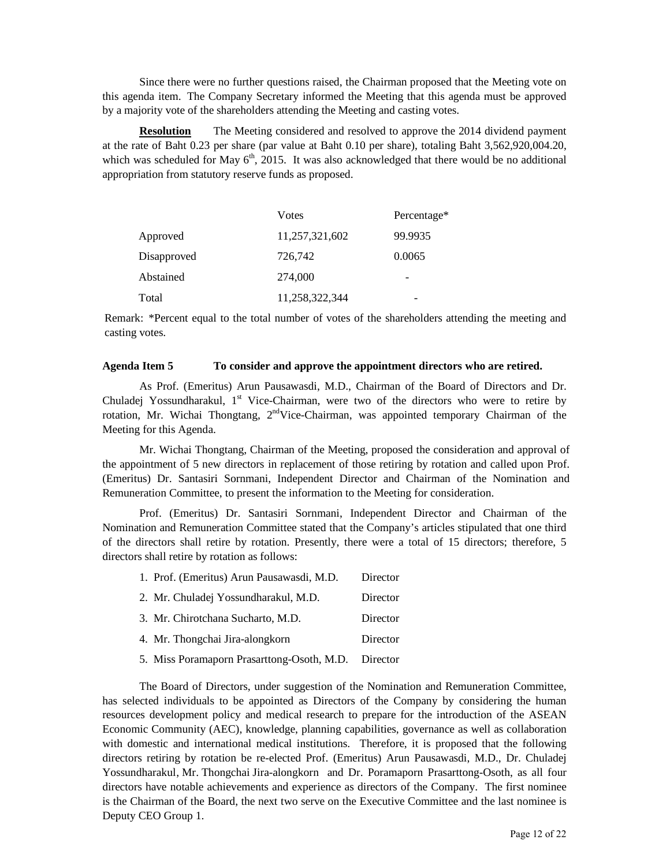Since there were no further questions raised, the Chairman proposed that the Meeting vote on this agenda item. The Company Secretary informed the Meeting that this agenda must be approved by a majority vote of the shareholders attending the Meeting and casting votes.

**Resolution** The Meeting considered and resolved to approve the 2014 dividend payment at the rate of Baht 0.23 per share (par value at Baht 0.10 per share), totaling Baht 3,562,920,004.20, which was scheduled for May  $6<sup>th</sup>$ , 2015. It was also acknowledged that there would be no additional appropriation from statutory reserve funds as proposed.

|             | Votes          | Percentage* |
|-------------|----------------|-------------|
| Approved    | 11,257,321,602 | 99.9935     |
| Disapproved | 726,742        | 0.0065      |
| Abstained   | 274,000        | -           |
| Total       | 11,258,322,344 | -           |

Remark: \*Percent equal to the total number of votes of the shareholders attending the meeting and casting votes.

#### **Agenda Item 5 To consider and approve the appointment directors who are retired.**

As Prof. (Emeritus) Arun Pausawasdi, M.D., Chairman of the Board of Directors and Dr. Chuladej Yossundharakul,  $1<sup>st</sup>$  Vice-Chairman, were two of the directors who were to retire by rotation, Mr. Wichai Thongtang, 2<sup>nd</sup>Vice-Chairman, was appointed temporary Chairman of the Meeting for this Agenda.

 Mr. Wichai Thongtang, Chairman of the Meeting, proposed the consideration and approval of the appointment of 5 new directors in replacement of those retiring by rotation and called upon Prof. (Emeritus) Dr. Santasiri Sornmani, Independent Director and Chairman of the Nomination and Remuneration Committee, to present the information to the Meeting for consideration.

 Prof. (Emeritus) Dr. Santasiri Sornmani, Independent Director and Chairman of the Nomination and Remuneration Committee stated that the Company's articles stipulated that one third of the directors shall retire by rotation. Presently, there were a total of 15 directors; therefore, 5 directors shall retire by rotation as follows:

| 1. Prof. (Emeritus) Arun Pausawasdi, M.D.  | Director |
|--------------------------------------------|----------|
| 2. Mr. Chuladej Yossundharakul, M.D.       | Director |
| 3. Mr. Chirotchana Sucharto, M.D.          | Director |
| 4. Mr. Thongchai Jira-alongkorn            | Director |
| 5. Miss Poramaporn Prasarttong-Osoth, M.D. | Director |

 The Board of Directors, under suggestion of the Nomination and Remuneration Committee, has selected individuals to be appointed as Directors of the Company by considering the human resources development policy and medical research to prepare for the introduction of the ASEAN Economic Community (AEC), knowledge, planning capabilities, governance as well as collaboration with domestic and international medical institutions. Therefore, it is proposed that the following directors retiring by rotation be re-elected Prof. (Emeritus) Arun Pausawasdi, M.D., Dr. Chuladej Yossundharakul, Mr. Thongchai Jira-alongkorn and Dr. Poramaporn Prasarttong-Osoth, as all four directors have notable achievements and experience as directors of the Company. The first nominee is the Chairman of the Board, the next two serve on the Executive Committee and the last nominee is Deputy CEO Group 1.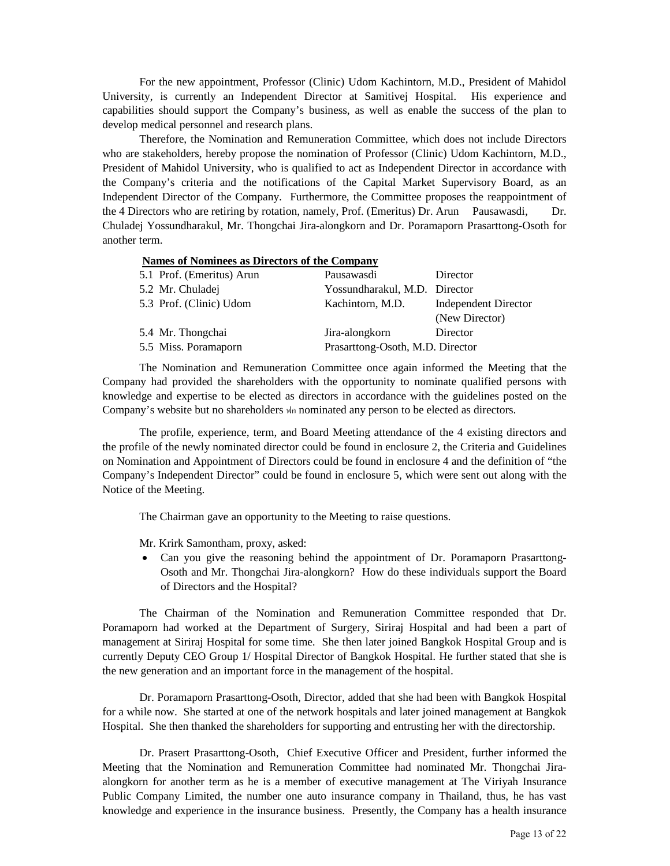For the new appointment, Professor (Clinic) Udom Kachintorn, M.D., President of Mahidol University, is currently an Independent Director at Samitivej Hospital. His experience and capabilities should support the Company's business, as well as enable the success of the plan to develop medical personnel and research plans.

 Therefore, the Nomination and Remuneration Committee, which does not include Directors who are stakeholders, hereby propose the nomination of Professor (Clinic) Udom Kachintorn, M.D., President of Mahidol University, who is qualified to act as Independent Director in accordance with the Company's criteria and the notifications of the Capital Market Supervisory Board, as an Independent Director of the Company. Furthermore, the Committee proposes the reappointment of the 4 Directors who are retiring by rotation, namely, Prof. (Emeritus) Dr. Arun Pausawasdi, Dr. Chuladej Yossundharakul, Mr. Thongchai Jira-alongkorn and Dr. Poramaporn Prasarttong-Osoth for another term.

#### **Names of Nominees as Directors of the Company**

| 5.1 Prof. (Emeritus) Arun | Pausawasdi                       | Director                                      |
|---------------------------|----------------------------------|-----------------------------------------------|
| 5.2 Mr. Chuladej          | Yossundharakul, M.D. Director    |                                               |
| 5.3 Prof. (Clinic) Udom   | Kachintorn, M.D.                 | <b>Independent Director</b><br>(New Director) |
| 5.4 Mr. Thongchai         | Jira-alongkorn                   | Director                                      |
| 5.5 Miss. Poramaporn      | Prasarttong-Osoth, M.D. Director |                                               |

The Nomination and Remuneration Committee once again informed the Meeting that the Company had provided the shareholders with the opportunity to nominate qualified persons with knowledge and expertise to be elected as directors in accordance with the guidelines posted on the Company's website but no shareholders ฟก nominated any person to be elected as directors.

The profile, experience, term, and Board Meeting attendance of the 4 existing directors and the profile of the newly nominated director could be found in enclosure 2, the Criteria and Guidelines on Nomination and Appointment of Directors could be found in enclosure 4 and the definition of "the Company's Independent Director" could be found in enclosure 5, which were sent out along with the Notice of the Meeting.

The Chairman gave an opportunity to the Meeting to raise questions.

Mr. Krirk Samontham, proxy, asked:

• Can you give the reasoning behind the appointment of Dr. Poramaporn Prasarttong-Osoth and Mr. Thongchai Jira-alongkorn? How do these individuals support the Board of Directors and the Hospital?

 The Chairman of the Nomination and Remuneration Committee responded that Dr. Poramaporn had worked at the Department of Surgery, Siriraj Hospital and had been a part of management at Siriraj Hospital for some time. She then later joined Bangkok Hospital Group and is currently Deputy CEO Group 1/ Hospital Director of Bangkok Hospital. He further stated that she is the new generation and an important force in the management of the hospital.

Dr. Poramaporn Prasarttong-Osoth, Director, added that she had been with Bangkok Hospital for a while now. She started at one of the network hospitals and later joined management at Bangkok Hospital. She then thanked the shareholders for supporting and entrusting her with the directorship.

Dr. Prasert Prasarttong-Osoth, Chief Executive Officer and President, further informed the Meeting that the Nomination and Remuneration Committee had nominated Mr. Thongchai Jiraalongkorn for another term as he is a member of executive management at The Viriyah Insurance Public Company Limited, the number one auto insurance company in Thailand, thus, he has vast knowledge and experience in the insurance business. Presently, the Company has a health insurance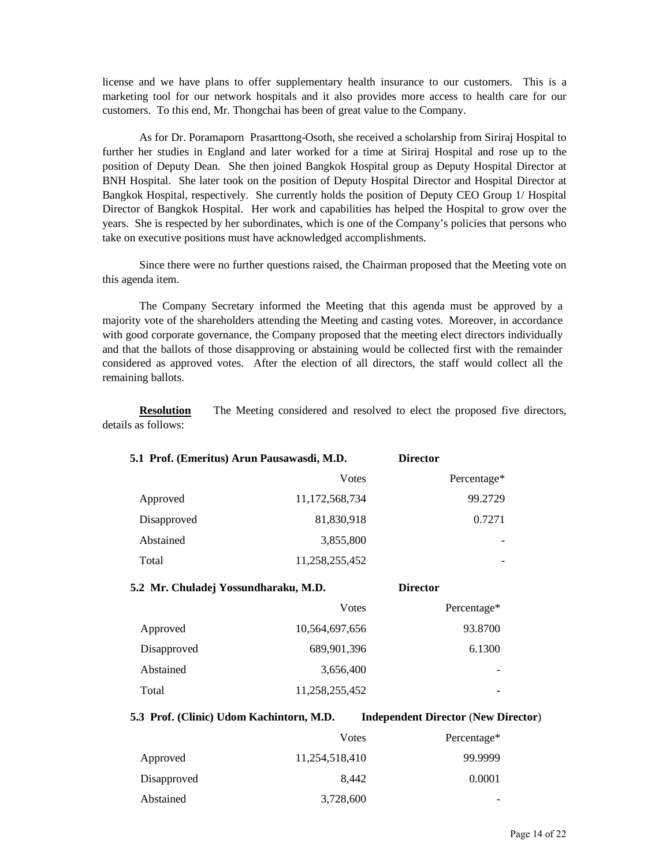license and we have plans to offer supplementary health insurance to our customers. This is a marketing tool for our network hospitals and it also provides more access to health care for our customers. To this end, Mr. Thongchai has been of great value to the Company.

 As for Dr. Poramaporn Prasarttong-Osoth, she received a scholarship from Siriraj Hospital to further her studies in England and later worked for a time at Siriraj Hospital and rose up to the position of Deputy Dean. She then joined Bangkok Hospital group as Deputy Hospital Director at BNH Hospital. She later took on the position of Deputy Hospital Director and Hospital Director at Bangkok Hospital, respectively. She currently holds the position of Deputy CEO Group 1/ Hospital Director of Bangkok Hospital. Her work and capabilities has helped the Hospital to grow over the years. She is respected by her subordinates, which is one of the Company's policies that persons who take on executive positions must have acknowledged accomplishments.

 Since there were no further questions raised, the Chairman proposed that the Meeting vote on this agenda item.

The Company Secretary informed the Meeting that this agenda must be approved by a majority vote of the shareholders attending the Meeting and casting votes. Moreover, in accordance with good corporate governance, the Company proposed that the meeting elect directors individually and that the ballots of those disapproving or abstaining would be collected first with the remainder considered as approved votes. After the election of all directors, the staff would collect all the remaining ballots.

**Resolution** The Meeting considered and resolved to elect the proposed five directors, details as follows:

| 5.1 Prof. (Emeritus) Arun Pausawasdi, M.D. |                | <b>Director</b>          |
|--------------------------------------------|----------------|--------------------------|
|                                            | <b>V</b> otes  | Percentage*              |
| Approved                                   | 11,172,568,734 | 99.2729                  |
| Disapproved                                | 81,830,918     | 0.7271                   |
| Abstained                                  | 3,855,800      |                          |
| Total                                      | 11,258,255,452 | $\overline{\phantom{0}}$ |

**5.2 Mr. Chuladej Yossundharaku, M.D. Director** 

|             | Votes          | Percentage* |
|-------------|----------------|-------------|
| Approved    | 10,564,697,656 | 93.8700     |
| Disapproved | 689,901,396    | 6.1300      |
| Abstained   | 3,656,400      |             |
| Total       | 11,258,255,452 | -           |

**5.3 Prof. (Clinic) Udom Kachintorn, M.D. Independent Director** (**New Director**)

|             | Votes          | Percentage* |
|-------------|----------------|-------------|
| Approved    | 11,254,518,410 | 99.9999     |
| Disapproved | 8.442          | 0.0001      |
| Abstained   | 3,728,600      |             |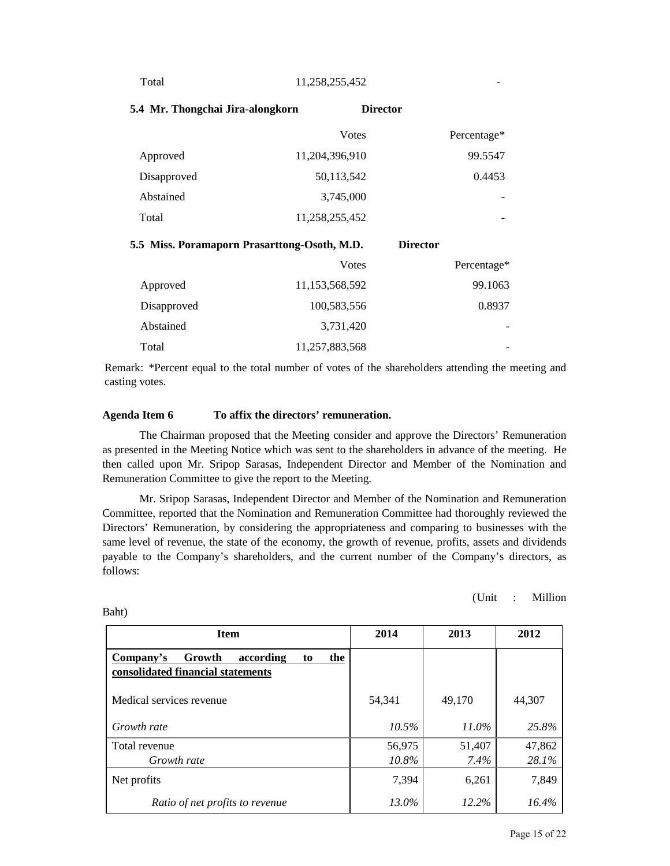Total 11,258,255,452

| 5.4 Mr. Thongchai Jira-alongkorn             |                | <b>Director</b> |             |
|----------------------------------------------|----------------|-----------------|-------------|
|                                              | <b>V</b> otes  |                 | Percentage* |
| Approved                                     | 11,204,396,910 |                 | 99.5547     |
| Disapproved                                  | 50,113,542     |                 | 0.4453      |
| Abstained                                    | 3,745,000      |                 |             |
| Total                                        | 11,258,255,452 |                 |             |
| 5.5 Miss. Poramaporn Prasarttong-Osoth, M.D. |                | <b>Director</b> |             |
|                                              | Votes          |                 | Percentage* |

|             | Votes          | Percentage* |
|-------------|----------------|-------------|
| Approved    | 11,153,568,592 | 99.1063     |
| Disapproved | 100,583,556    | 0.8937      |
| Abstained   | 3,731,420      |             |
| Total       | 11,257,883,568 |             |

Remark: \*Percent equal to the total number of votes of the shareholders attending the meeting and casting votes.

#### **Agenda Item 6 To affix the directors' remuneration.**

The Chairman proposed that the Meeting consider and approve the Directors' Remuneration as presented in the Meeting Notice which was sent to the shareholders in advance of the meeting. He then called upon Mr. Sripop Sarasas, Independent Director and Member of the Nomination and Remuneration Committee to give the report to the Meeting.

 Mr. Sripop Sarasas, Independent Director and Member of the Nomination and Remuneration Committee, reported that the Nomination and Remuneration Committee had thoroughly reviewed the Directors' Remuneration, by considering the appropriateness and comparing to businesses with the same level of revenue, the state of the economy, the growth of revenue, profits, assets and dividends payable to the Company's shareholders, and the current number of the Company's directors, as follows:

(Unit : Million

| <b>Item</b>                                                                        | 2014            | 2013           | 2012            |
|------------------------------------------------------------------------------------|-----------------|----------------|-----------------|
| Growth<br>Company's<br>according<br>the<br>to<br>consolidated financial statements |                 |                |                 |
| Medical services revenue                                                           | 54,341          | 49,170         | 44,307          |
| Growth rate                                                                        | $10.5\%$        | $11.0\%$       | 25.8%           |
| Total revenue<br>Growth rate                                                       | 56,975<br>10.8% | 51,407<br>7.4% | 47,862<br>28.1% |
| Net profits                                                                        | 7,394           | 6,261          | 7,849           |
| Ratio of net profits to revenue                                                    | 13.0%           | 12.2%          | $16.4\%$        |

Baht)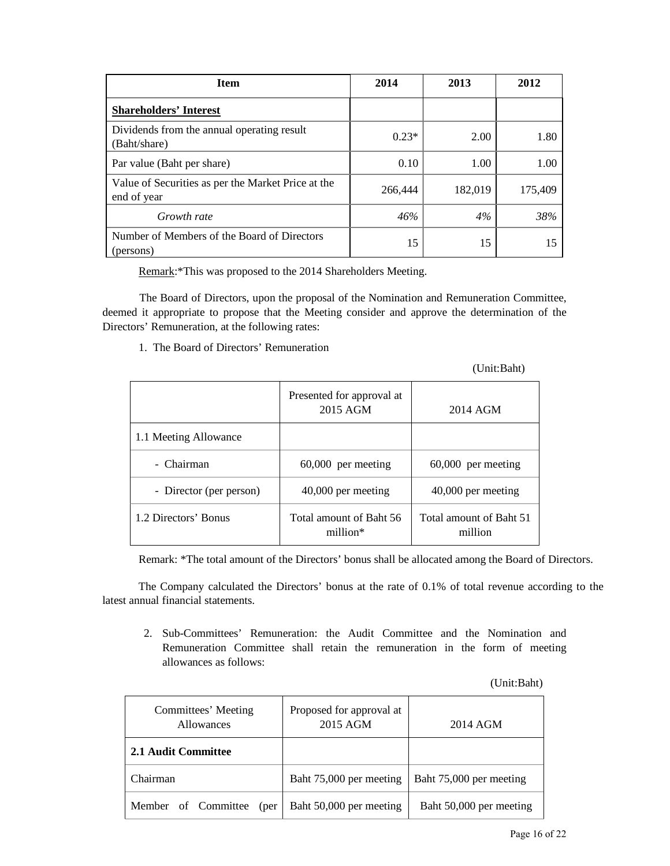| <b>Item</b>                                                       | 2014    | 2013    | 2012    |
|-------------------------------------------------------------------|---------|---------|---------|
| <b>Shareholders' Interest</b>                                     |         |         |         |
| Dividends from the annual operating result<br>(Baht/share)        | $0.23*$ | 2.00    | 1.80    |
| Par value (Baht per share)                                        | 0.10    | 1.00    | 1.00    |
| Value of Securities as per the Market Price at the<br>end of year | 266,444 | 182,019 | 175,409 |
| Growth rate                                                       | 46%     | 4%      | 38%     |
| Number of Members of the Board of Directors<br>(persons)          | 15      | 15      | 15      |

Remark:\*This was proposed to the 2014 Shareholders Meeting.

 The Board of Directors, upon the proposal of the Nomination and Remuneration Committee, deemed it appropriate to propose that the Meeting consider and approve the determination of the Directors' Remuneration, at the following rates:

1. The Board of Directors' Remuneration

(Unit:Baht)

|                         | Presented for approval at<br>2015 AGM | 2014 AGM                           |
|-------------------------|---------------------------------------|------------------------------------|
| 1.1 Meeting Allowance   |                                       |                                    |
| - Chairman              | $60,000$ per meeting                  | $60,000$ per meeting               |
| - Director (per person) | 40,000 per meeting                    | 40,000 per meeting                 |
| 1.2 Directors' Bonus    | Total amount of Baht 56<br>million*   | Total amount of Baht 51<br>million |

Remark: \*The total amount of the Directors' bonus shall be allocated among the Board of Directors.

The Company calculated the Directors' bonus at the rate of 0.1% of total revenue according to the latest annual financial statements.

2. Sub-Committees' Remuneration: the Audit Committee and the Nomination and Remuneration Committee shall retain the remuneration in the form of meeting allowances as follows:

(Unit:Baht)

| Committees' Meeting<br><b>Allowances</b> | Proposed for approval at<br>2015 AGM | 2014 AGM                |
|------------------------------------------|--------------------------------------|-------------------------|
| 2.1 Audit Committee                      |                                      |                         |
| Chairman                                 | Baht 75,000 per meeting              | Baht 75,000 per meeting |
| Member of Committee<br>(per              | Baht 50,000 per meeting              | Baht 50,000 per meeting |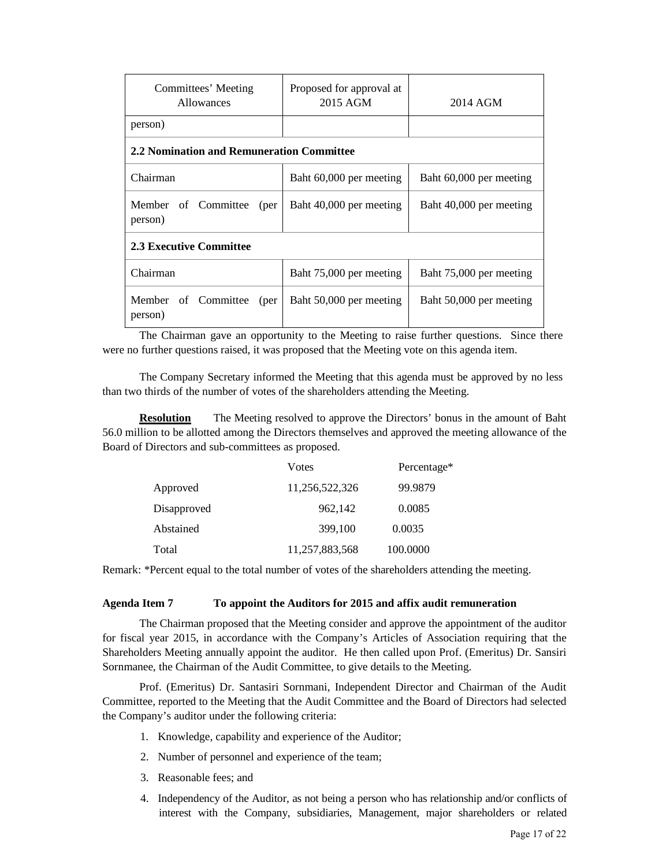| Committees' Meeting<br><b>Allowances</b>  | Proposed for approval at<br>2015 AGM | 2014 AGM                |
|-------------------------------------------|--------------------------------------|-------------------------|
| person)                                   |                                      |                         |
| 2.2 Nomination and Remuneration Committee |                                      |                         |
| Chairman                                  | Baht 60,000 per meeting              | Baht 60,000 per meeting |
| Member of Committee<br>(per<br>person)    | Baht 40,000 per meeting              | Baht 40,000 per meeting |
| <b>2.3 Executive Committee</b>            |                                      |                         |
| Chairman                                  | Baht 75,000 per meeting              | Baht 75,000 per meeting |
| Member of Committee<br>(per<br>person)    | Baht 50,000 per meeting              | Baht 50,000 per meeting |

The Chairman gave an opportunity to the Meeting to raise further questions. Since there were no further questions raised, it was proposed that the Meeting vote on this agenda item.

The Company Secretary informed the Meeting that this agenda must be approved by no less than two thirds of the number of votes of the shareholders attending the Meeting.

**Resolution** The Meeting resolved to approve the Directors' bonus in the amount of Baht 56.0 million to be allotted among the Directors themselves and approved the meeting allowance of the Board of Directors and sub-committees as proposed.

|             | Votes          | Percentage* |
|-------------|----------------|-------------|
| Approved    | 11,256,522,326 | 99.9879     |
| Disapproved | 962,142        | 0.0085      |
| Abstained   | 399,100        | 0.0035      |
| Total       | 11,257,883,568 | 100.0000    |

Remark: \*Percent equal to the total number of votes of the shareholders attending the meeting.

#### **Agenda Item 7 To appoint the Auditors for 2015 and affix audit remuneration**

The Chairman proposed that the Meeting consider and approve the appointment of the auditor for fiscal year 2015, in accordance with the Company's Articles of Association requiring that the Shareholders Meeting annually appoint the auditor. He then called upon Prof. (Emeritus) Dr. Sansiri Sornmanee, the Chairman of the Audit Committee, to give details to the Meeting.

Prof. (Emeritus) Dr. Santasiri Sornmani, Independent Director and Chairman of the Audit Committee, reported to the Meeting that the Audit Committee and the Board of Directors had selected the Company's auditor under the following criteria:

- 1. Knowledge, capability and experience of the Auditor;
- 2. Number of personnel and experience of the team;
- 3. Reasonable fees; and
- 4. Independency of the Auditor, as not being a person who has relationship and/or conflicts of interest with the Company, subsidiaries, Management, major shareholders or related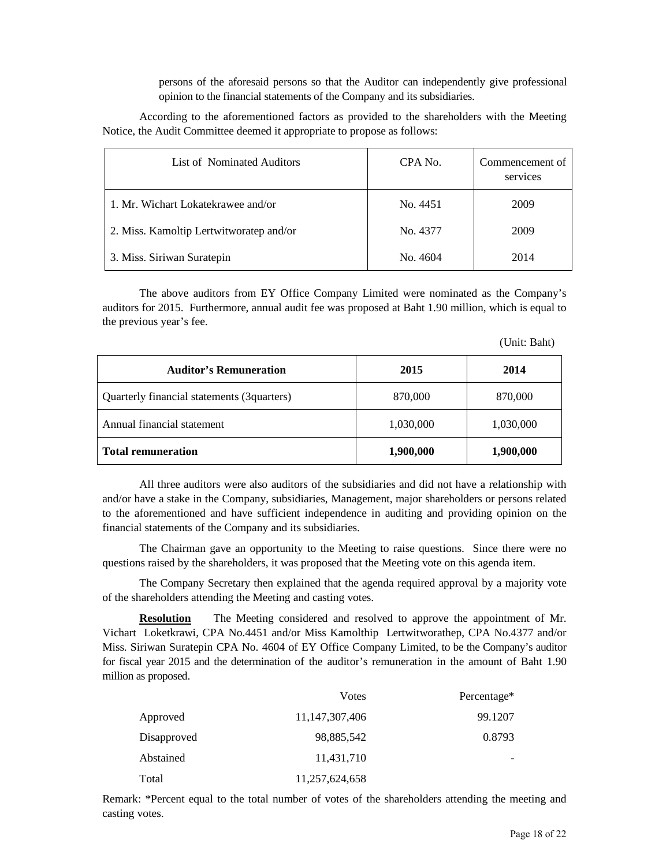persons of the aforesaid persons so that the Auditor can independently give professional opinion to the financial statements of the Company and its subsidiaries.

 According to the aforementioned factors as provided to the shareholders with the Meeting Notice, the Audit Committee deemed it appropriate to propose as follows:

| List of Nominated Auditors              | CPA No.  | Commencement of<br>services |
|-----------------------------------------|----------|-----------------------------|
| 1. Mr. Wichart Lokatekrawee and/or      | No. 4451 | 2009                        |
| 2. Miss. Kamoltip Lertwitworatep and/or | No. 4377 | 2009                        |
| 3. Miss. Siriwan Suratepin              | No. 4604 | 2014                        |

The above auditors from EY Office Company Limited were nominated as the Company's auditors for 2015. Furthermore, annual audit fee was proposed at Baht 1.90 million, which is equal to the previous year's fee.

| (Unit: Baht) |  |
|--------------|--|
|--------------|--|

| <b>Auditor's Remuneration</b>              | 2015      | 2014      |
|--------------------------------------------|-----------|-----------|
| Quarterly financial statements (3quarters) | 870,000   | 870,000   |
| Annual financial statement                 | 1,030,000 | 1,030,000 |
| <b>Total remuneration</b>                  | 1,900,000 | 1,900,000 |

All three auditors were also auditors of the subsidiaries and did not have a relationship with and/or have a stake in the Company, subsidiaries, Management, major shareholders or persons related to the aforementioned and have sufficient independence in auditing and providing opinion on the financial statements of the Company and its subsidiaries.

 The Chairman gave an opportunity to the Meeting to raise questions. Since there were no questions raised by the shareholders, it was proposed that the Meeting vote on this agenda item.

The Company Secretary then explained that the agenda required approval by a majority vote of the shareholders attending the Meeting and casting votes.

**Resolution** The Meeting considered and resolved to approve the appointment of Mr. Vichart Loketkrawi, CPA No.4451 and/or Miss Kamolthip Lertwitworathep, CPA No.4377 and/or Miss. Siriwan Suratepin CPA No. 4604 of EY Office Company Limited, to be the Company's auditor for fiscal year 2015 and the determination of the auditor's remuneration in the amount of Baht 1.90 million as proposed.

|             | Votes          | Percentage* |
|-------------|----------------|-------------|
| Approved    | 11,147,307,406 | 99.1207     |
| Disapproved | 98,885,542     | 0.8793      |
| Abstained   | 11,431,710     |             |
| Total       | 11,257,624,658 |             |

Remark: \*Percent equal to the total number of votes of the shareholders attending the meeting and casting votes.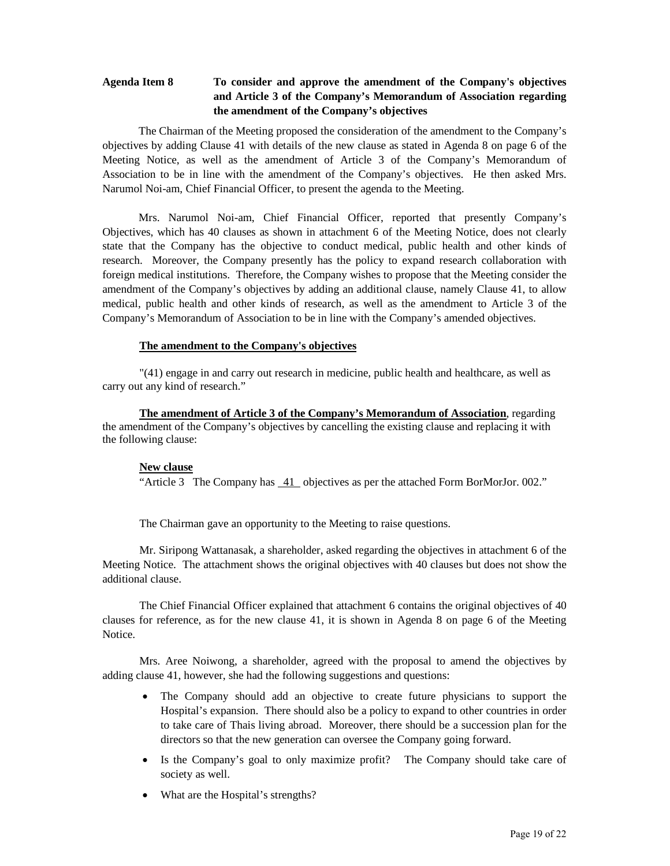# **Agenda Item 8 To consider and approve the amendment of the Company's objectives and Article 3 of the Company's Memorandum of Association regarding the amendment of the Company's objectives**

 The Chairman of the Meeting proposed the consideration of the amendment to the Company's objectives by adding Clause 41 with details of the new clause as stated in Agenda 8 on page 6 of the Meeting Notice, as well as the amendment of Article 3 of the Company's Memorandum of Association to be in line with the amendment of the Company's objectives. He then asked Mrs. Narumol Noi-am, Chief Financial Officer, to present the agenda to the Meeting.

 Mrs. Narumol Noi-am, Chief Financial Officer, reported that presently Company's Objectives, which has 40 clauses as shown in attachment 6 of the Meeting Notice, does not clearly state that the Company has the objective to conduct medical, public health and other kinds of research. Moreover, the Company presently has the policy to expand research collaboration with foreign medical institutions. Therefore, the Company wishes to propose that the Meeting consider the amendment of the Company's objectives by adding an additional clause, namely Clause 41, to allow medical, public health and other kinds of research, as well as the amendment to Article 3 of the Company's Memorandum of Association to be in line with the Company's amended objectives.

#### **The amendment to the Company's objectives**

"(41) engage in and carry out research in medicine, public health and healthcare, as well as carry out any kind of research."

**The amendment of Article 3 of the Company's Memorandum of Association**, regarding the amendment of the Company's objectives by cancelling the existing clause and replacing it with the following clause:

#### **New clause**

"Article 3 The Company has 41 objectives as per the attached Form BorMorJor. 002."

The Chairman gave an opportunity to the Meeting to raise questions.

Mr. Siripong Wattanasak, a shareholder, asked regarding the objectives in attachment 6 of the Meeting Notice. The attachment shows the original objectives with 40 clauses but does not show the additional clause.

The Chief Financial Officer explained that attachment 6 contains the original objectives of 40 clauses for reference, as for the new clause 41, it is shown in Agenda 8 on page 6 of the Meeting Notice.

Mrs. Aree Noiwong, a shareholder, agreed with the proposal to amend the objectives by adding clause 41, however, she had the following suggestions and questions:

- The Company should add an objective to create future physicians to support the Hospital's expansion. There should also be a policy to expand to other countries in order to take care of Thais living abroad. Moreover, there should be a succession plan for the directors so that the new generation can oversee the Company going forward.
- Is the Company's goal to only maximize profit? The Company should take care of society as well.
- What are the Hospital's strengths?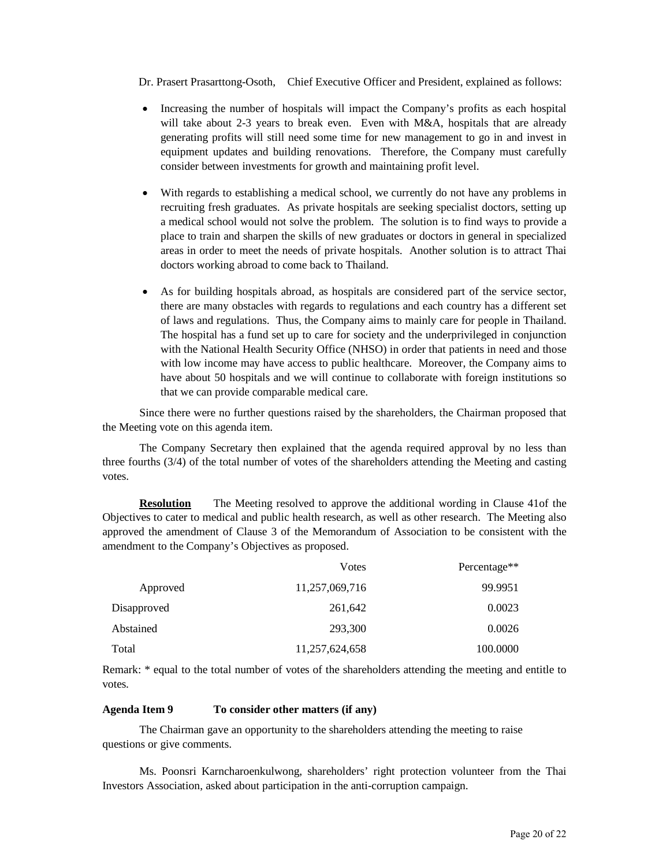Dr. Prasert Prasarttong-Osoth, Chief Executive Officer and President, explained as follows:

- Increasing the number of hospitals will impact the Company's profits as each hospital will take about 2-3 years to break even. Even with M&A, hospitals that are already generating profits will still need some time for new management to go in and invest in equipment updates and building renovations. Therefore, the Company must carefully consider between investments for growth and maintaining profit level.
- With regards to establishing a medical school, we currently do not have any problems in recruiting fresh graduates. As private hospitals are seeking specialist doctors, setting up a medical school would not solve the problem. The solution is to find ways to provide a place to train and sharpen the skills of new graduates or doctors in general in specialized areas in order to meet the needs of private hospitals. Another solution is to attract Thai doctors working abroad to come back to Thailand.
- As for building hospitals abroad, as hospitals are considered part of the service sector, there are many obstacles with regards to regulations and each country has a different set of laws and regulations. Thus, the Company aims to mainly care for people in Thailand. The hospital has a fund set up to care for society and the underprivileged in conjunction with the National Health Security Office (NHSO) in order that patients in need and those with low income may have access to public healthcare. Moreover, the Company aims to have about 50 hospitals and we will continue to collaborate with foreign institutions so that we can provide comparable medical care.

Since there were no further questions raised by the shareholders, the Chairman proposed that the Meeting vote on this agenda item.

The Company Secretary then explained that the agenda required approval by no less than three fourths (3/4) of the total number of votes of the shareholders attending the Meeting and casting votes.

**Resolution** The Meeting resolved to approve the additional wording in Clause 41of the Objectives to cater to medical and public health research, as well as other research. The Meeting also approved the amendment of Clause 3 of the Memorandum of Association to be consistent with the amendment to the Company's Objectives as proposed.

|             | Votes          | Percentage <sup>**</sup> |
|-------------|----------------|--------------------------|
| Approved    | 11,257,069,716 | 99.9951                  |
| Disapproved | 261,642        | 0.0023                   |
| Abstained   | 293,300        | 0.0026                   |
| Total       | 11,257,624,658 | 100.0000                 |

Remark: \* equal to the total number of votes of the shareholders attending the meeting and entitle to votes.

#### **Agenda Item 9 To consider other matters (if any)**

The Chairman gave an opportunity to the shareholders attending the meeting to raise questions or give comments.

 Ms. Poonsri Karncharoenkulwong, shareholders' right protection volunteer from the Thai Investors Association, asked about participation in the anti-corruption campaign.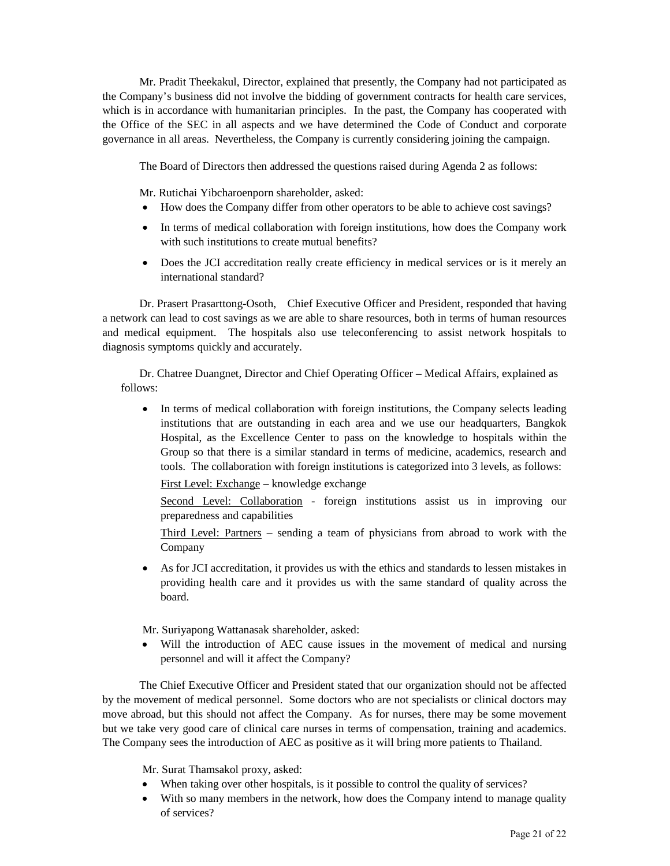Mr. Pradit Theekakul, Director, explained that presently, the Company had not participated as the Company's business did not involve the bidding of government contracts for health care services, which is in accordance with humanitarian principles. In the past, the Company has cooperated with the Office of the SEC in all aspects and we have determined the Code of Conduct and corporate governance in all areas. Nevertheless, the Company is currently considering joining the campaign.

The Board of Directors then addressed the questions raised during Agenda 2 as follows:

Mr. Rutichai Yibcharoenporn shareholder, asked:

- How does the Company differ from other operators to be able to achieve cost savings?
- In terms of medical collaboration with foreign institutions, how does the Company work with such institutions to create mutual benefits?
- Does the JCI accreditation really create efficiency in medical services or is it merely an international standard?

 Dr. Prasert Prasarttong-Osoth, Chief Executive Officer and President, responded that having a network can lead to cost savings as we are able to share resources, both in terms of human resources and medical equipment. The hospitals also use teleconferencing to assist network hospitals to diagnosis symptoms quickly and accurately.

Dr. Chatree Duangnet, Director and Chief Operating Officer – Medical Affairs, explained as follows:

• In terms of medical collaboration with foreign institutions, the Company selects leading institutions that are outstanding in each area and we use our headquarters, Bangkok Hospital, as the Excellence Center to pass on the knowledge to hospitals within the Group so that there is a similar standard in terms of medicine, academics, research and tools. The collaboration with foreign institutions is categorized into 3 levels, as follows:

First Level: Exchange – knowledge exchange

Second Level: Collaboration - foreign institutions assist us in improving our preparedness and capabilities

Third Level: Partners – sending a team of physicians from abroad to work with the Company

• As for JCI accreditation, it provides us with the ethics and standards to lessen mistakes in providing health care and it provides us with the same standard of quality across the board.

Mr. Suriyapong Wattanasak shareholder, asked:

Will the introduction of AEC cause issues in the movement of medical and nursing personnel and will it affect the Company?

 The Chief Executive Officer and President stated that our organization should not be affected by the movement of medical personnel. Some doctors who are not specialists or clinical doctors may move abroad, but this should not affect the Company. As for nurses, there may be some movement but we take very good care of clinical care nurses in terms of compensation, training and academics. The Company sees the introduction of AEC as positive as it will bring more patients to Thailand.

Mr. Surat Thamsakol proxy, asked:

- When taking over other hospitals, is it possible to control the quality of services?
- With so many members in the network, how does the Company intend to manage quality of services?